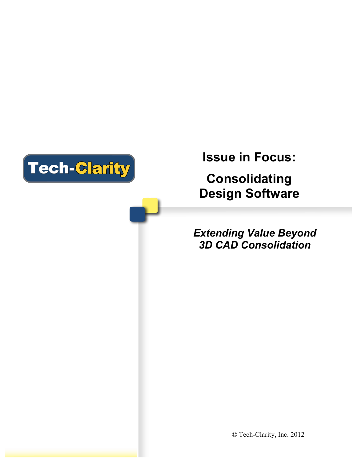

# **Issue in Focus:**

**Consolidating Design Software** 

# *Extending Value Beyond 3D CAD Consolidation*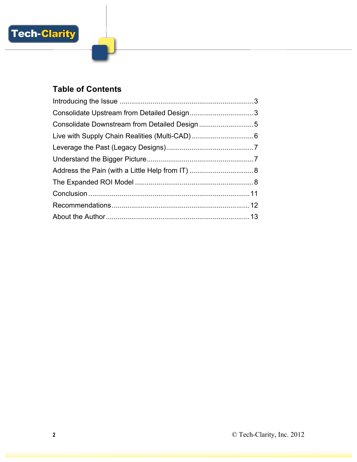

## **Table of Contents**

| Consolidate Downstream from Detailed Design 5 |  |
|-----------------------------------------------|--|
|                                               |  |
|                                               |  |
|                                               |  |
|                                               |  |
|                                               |  |
|                                               |  |
|                                               |  |
|                                               |  |
|                                               |  |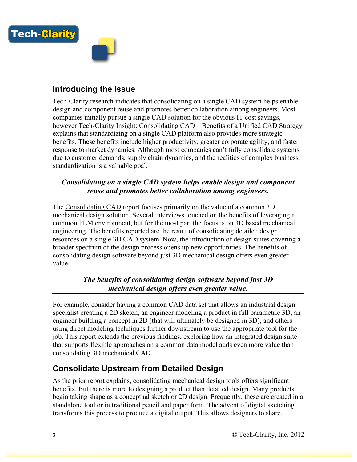

**Tech-Clarity** 

Tech-Clarity research indicates that consolidating on a single CAD system helps enable design and component reuse and promotes better collaboration among engineers. Most companies initially pursue a single CAD solution for the obvious IT cost savings, however Tech-Clarity Insight: Consolidating CAD – Benefits of a Unified CAD Strategy explains that standardizing on a single CAD platform also provides more strategic benefits. These benefits include higher productivity, greater corporate agility, and faster response to market dynamics. Although most companies can't fully consolidate systems due to customer demands, supply chain dynamics, and the realities of complex business, standardization is a valuable goal.

*Consolidating on a single CAD system helps enable design and component reuse and promotes better collaboration among engineers.*

The Consolidating CAD report focuses primarily on the value of a common 3D mechanical design solution. Several interviews touched on the benefits of leveraging a common PLM environment, but for the most part the focus is on 3D based mechanical engineering. The benefits reported are the result of consolidating detailed design resources on a single 3D CAD system. Now, the introduction of design suites covering a broader spectrum of the design process opens up new opportunities. The benefits of consolidating design software beyond just 3D mechanical design offers even greater value.

> *The benefits of consolidating design software beyond just 3D mechanical design offers even greater value.*

For example, consider having a common CAD data set that allows an industrial design specialist creating a 2D sketch, an engineer modeling a product in full parametric 3D, an engineer building a concept in 2D (that will ultimately be designed in 3D), and others using direct modeling techniques further downstream to use the appropriate tool for the job. This report extends the previous findings, exploring how an integrated design suite that supports flexible approaches on a common data model adds even more value than consolidating 3D mechanical CAD.

#### **Consolidate Upstream from Detailed Design**

As the prior report explains, consolidating mechanical design tools offers significant benefits. But there is more to designing a product than detailed design. Many products begin taking shape as a conceptual sketch or 2D design. Frequently, these are created in a standalone tool or in traditional pencil and paper form. The advent of digital sketching transforms this process to produce a digital output. This allows designers to share,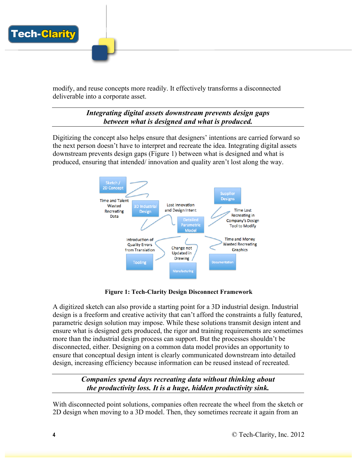

modify, and reuse concepts more readily. It effectively transforms a disconnected deliverable into a corporate asset.

> *Integrating digital assets downstream prevents design gaps between what is designed and what is produced.*

Digitizing the concept also helps ensure that designers' intentions are carried forward so the next person doesn't have to interpret and recreate the idea. Integrating digital assets downstream prevents design gaps (Figure 1) between what is designed and what is produced, ensuring that intended/ innovation and quality aren't lost along the way.



**Figure 1: Tech-Clarity Design Disconnect Framework**

A digitized sketch can also provide a starting point for a 3D industrial design. Industrial design is a freeform and creative activity that can't afford the constraints a fully featured, parametric design solution may impose. While these solutions transmit design intent and ensure what is designed gets produced, the rigor and training requirements are sometimes more than the industrial design process can support. But the processes shouldn't be disconnected, either. Designing on a common data model provides an opportunity to ensure that conceptual design intent is clearly communicated downstream into detailed design, increasing efficiency because information can be reused instead of recreated.

#### *Companies spend days recreating data without thinking about the productivity loss. It is a huge, hidden productivity sink.*

With disconnected point solutions, companies often recreate the wheel from the sketch or 2D design when moving to a 3D model. Then, they sometimes recreate it again from an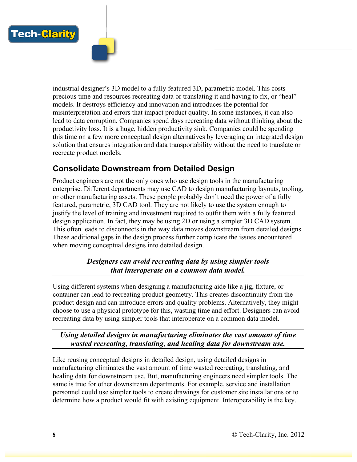

industrial designer's 3D model to a fully featured 3D, parametric model. This costs precious time and resources recreating data or translating it and having to fix, or "heal" models. It destroys efficiency and innovation and introduces the potential for misinterpretation and errors that impact product quality. In some instances, it can also lead to data corruption. Companies spend days recreating data without thinking about the productivity loss. It is a huge, hidden productivity sink. Companies could be spending this time on a few more conceptual design alternatives by leveraging an integrated design solution that ensures integration and data transportability without the need to translate or recreate product models.

#### **Consolidate Downstream from Detailed Design**

Product engineers are not the only ones who use design tools in the manufacturing enterprise. Different departments may use CAD to design manufacturing layouts, tooling, or other manufacturing assets. These people probably don't need the power of a fully featured, parametric, 3D CAD tool. They are not likely to use the system enough to justify the level of training and investment required to outfit them with a fully featured design application. In fact, they may be using 2D or using a simpler 3D CAD system. This often leads to disconnects in the way data moves downstream from detailed designs. These additional gaps in the design process further complicate the issues encountered when moving conceptual designs into detailed design.

> *Designers can avoid recreating data by using simpler tools that interoperate on a common data model.*

Using different systems when designing a manufacturing aide like a jig, fixture, or container can lead to recreating product geometry. This creates discontinuity from the product design and can introduce errors and quality problems. Alternatively, they might choose to use a physical prototype for this, wasting time and effort. Designers can avoid recreating data by using simpler tools that interoperate on a common data model.

*Using detailed designs in manufacturing eliminates the vast amount of time wasted recreating, translating, and healing data for downstream use.* 

Like reusing conceptual designs in detailed design, using detailed designs in manufacturing eliminates the vast amount of time wasted recreating, translating, and healing data for downstream use. But, manufacturing engineers need simpler tools. The same is true for other downstream departments. For example, service and installation personnel could use simpler tools to create drawings for customer site installations or to determine how a product would fit with existing equipment. Interoperability is the key.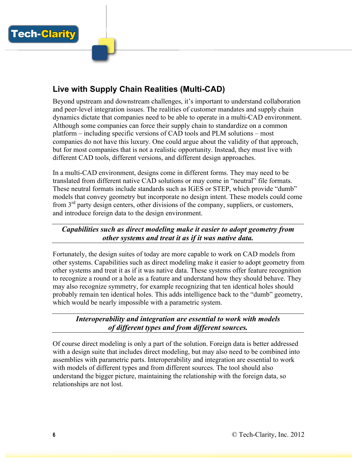

## **Live with Supply Chain Realities (Multi-CAD)**

Beyond upstream and downstream challenges, it's important to understand collaboration and peer-level integration issues. The realities of customer mandates and supply chain dynamics dictate that companies need to be able to operate in a multi-CAD environment. Although some companies can force their supply chain to standardize on a common platform – including specific versions of CAD tools and PLM solutions – most companies do not have this luxury. One could argue about the validity of that approach, but for most companies that is not a realistic opportunity. Instead, they must live with different CAD tools, different versions, and different design approaches.

In a multi-CAD environment, designs come in different forms. They may need to be translated from different native CAD solutions or may come in "neutral" file formats. These neutral formats include standards such as IGES or STEP, which provide "dumb" models that convey geometry but incorporate no design intent. These models could come from  $3<sup>rd</sup>$  party design centers, other divisions of the company, suppliers, or customers, and introduce foreign data to the design environment.

*Capabilities such as direct modeling make it easier to adopt geometry from other systems and treat it as if it was native data.* 

Fortunately, the design suites of today are more capable to work on CAD models from other systems. Capabilities such as direct modeling make it easier to adopt geometry from other systems and treat it as if it was native data. These systems offer feature recognition to recognize a round or a hole as a feature and understand how they should behave. They may also recognize symmetry, for example recognizing that ten identical holes should probably remain ten identical holes. This adds intelligence back to the "dumb" geometry, which would be nearly impossible with a parametric system.

*Interoperability and integration are essential to work with models of different types and from different sources.*

Of course direct modeling is only a part of the solution. Foreign data is better addressed with a design suite that includes direct modeling, but may also need to be combined into assemblies with parametric parts. Interoperability and integration are essential to work with models of different types and from different sources. The tool should also understand the bigger picture, maintaining the relationship with the foreign data, so relationships are not lost.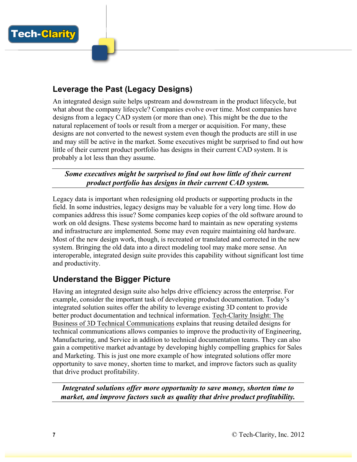

**Tech-Clarity** 

#### **Leverage the Past (Legacy Designs)**

An integrated design suite helps upstream and downstream in the product lifecycle, but what about the company lifecycle? Companies evolve over time. Most companies have designs from a legacy CAD system (or more than one). This might be the due to the natural replacement of tools or result from a merger or acquisition. For many, these designs are not converted to the newest system even though the products are still in use and may still be active in the market. Some executives might be surprised to find out how little of their current product portfolio has designs in their current CAD system. It is probably a lot less than they assume.

*Some executives might be surprised to find out how little of their current product portfolio has designs in their current CAD system.* 

Legacy data is important when redesigning old products or supporting products in the field. In some industries, legacy designs may be valuable for a very long time. How do companies address this issue? Some companies keep copies of the old software around to work on old designs. These systems become hard to maintain as new operating systems and infrastructure are implemented. Some may even require maintaining old hardware. Most of the new design work, though, is recreated or translated and corrected in the new system. Bringing the old data into a direct modeling tool may make more sense. An interoperable, integrated design suite provides this capability without significant lost time and productivity.

#### **Understand the Bigger Picture**

Having an integrated design suite also helps drive efficiency across the enterprise. For example, consider the important task of developing product documentation. Today's integrated solution suites offer the ability to leverage existing 3D content to provide better product documentation and technical information. Tech-Clarity Insight: The Business of 3D Technical Communications explains that reusing detailed designs for technical communications allows companies to improve the productivity of Engineering, Manufacturing, and Service in addition to technical documentation teams. They can also gain a competitive market advantage by developing highly compelling graphics for Sales and Marketing. This is just one more example of how integrated solutions offer more opportunity to save money, shorten time to market, and improve factors such as quality that drive product profitability.

*Integrated solutions offer more opportunity to save money, shorten time to market, and improve factors such as quality that drive product profitability.*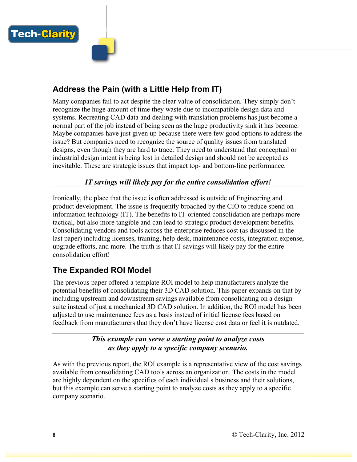

### **Address the Pain (with a Little Help from IT)**

Many companies fail to act despite the clear value of consolidation. They simply don't recognize the huge amount of time they waste due to incompatible design data and systems. Recreating CAD data and dealing with translation problems has just become a normal part of the job instead of being seen as the huge productivity sink it has become. Maybe companies have just given up because there were few good options to address the issue? But companies need to recognize the source of quality issues from translated designs, even though they are hard to trace. They need to understand that conceptual or industrial design intent is being lost in detailed design and should not be accepted as inevitable. These are strategic issues that impact top- and bottom-line performance.

*IT savings will likely pay for the entire consolidation effort!*

Ironically, the place that the issue is often addressed is outside of Engineering and product development. The issue is frequently broached by the CIO to reduce spend on information technology (IT). The benefits to IT-oriented consolidation are perhaps more tactical, but also more tangible and can lead to strategic product development benefits. Consolidating vendors and tools across the enterprise reduces cost (as discussed in the last paper) including licenses, training, help desk, maintenance costs, integration expense, upgrade efforts, and more. The truth is that IT savings will likely pay for the entire consolidation effort!

#### **The Expanded ROI Model**

The previous paper offered a template ROI model to help manufacturers analyze the potential benefits of consolidating their 3D CAD solution. This paper expands on that by including upstream and downstream savings available from consolidating on a design suite instead of just a mechanical 3D CAD solution. In addition, the ROI model has been adjusted to use maintenance fees as a basis instead of initial license fees based on feedback from manufacturers that they don't have license cost data or feel it is outdated.

> *This example can serve a starting point to analyze costs as they apply to a specific company scenario.*

As with the previous report, the ROI example is a representative view of the cost savings available from consolidating CAD tools across an organization. The costs in the model are highly dependent on the specifics of each individual s business and their solutions, but this example can serve a starting point to analyze costs as they apply to a specific company scenario.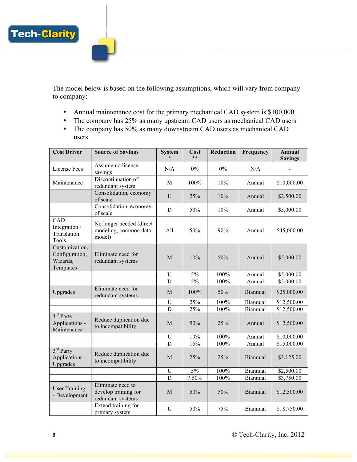

The model below is based on the following assumptions, which will vary from company to company:

- Annual maintenance cost for the primary mechanical CAD system is \$100,000
- The company has 25% as many upstream CAD users as mechanical CAD users
- The company has 50% as many downstream CAD users as mechanical CAD users

| <b>Cost Driver</b>                                        | <b>Source of Savings</b>                                       | <b>System</b>             | Cost<br>$**$ | <b>Reduction</b> | Frequency | Annual<br><b>Savings</b> |
|-----------------------------------------------------------|----------------------------------------------------------------|---------------------------|--------------|------------------|-----------|--------------------------|
| License Fees                                              | Assume no license<br>savings                                   | N/A                       | $0\%$        | $0\%$            | N/A       |                          |
| Maintenance                                               | Discontinuation of<br>redundant system                         | M                         | 100%         | 10%              | Annual    | \$10,000.00              |
|                                                           | Consolidation, economy<br>of scale                             | U                         | 25%          | 10%              | Annual    | \$2,500.00               |
|                                                           | Consolidation, economy<br>of scale                             | D                         | 50%          | 10%              | Annual    | \$5,000.00               |
| CAD<br>Integration /<br>Translation<br>Tools              | No longer needed (direct<br>modeling, common data<br>model)    | All                       | 50%          | 90%              | Annual    | \$45,000.00              |
| Customization,<br>Configuration,<br>Wizards,<br>Templates | Eliminate need for<br>redundant systems                        | M                         | 10%          | 50%              | Annual    | \$5,000.00               |
|                                                           |                                                                | U                         | 5%           | 100%             | Annual    | \$5,000.00               |
|                                                           |                                                                | $\mathbf D$               | 5%           | 100%             | Annual    | \$5,000.00               |
| Upgrades                                                  | Eliminate need for<br>redundant systems                        | M                         | 100%         | 50%              | Biannual  | \$25,000.00              |
|                                                           |                                                                | U                         | 25%          | 100%             | Biannual  | \$12,500.00              |
|                                                           |                                                                | D                         | 25%          | 100%             | Biannual  | \$12,500.00              |
| $3rd$ Party<br>Applications -<br>Maintenance              | Reduce duplication due<br>to incompatibility                   | M                         | 50%          | 25%              | Annual    | \$12,500.00              |
|                                                           |                                                                | U                         | 10%          | 100%             | Annual    | \$10,000.00              |
|                                                           |                                                                | D                         | 15%          | 100%             | Annual    | \$15,000.00              |
| $3rd$ Party<br>Applications -<br>Upgrades                 | Reduce duplication due<br>to incompatibility                   | M                         | 25%          | 25%              | Biannual  | \$3,125.00               |
|                                                           |                                                                | $\ensuremath{\mathrm{U}}$ | $5\%$        | 100%             | Biannual  | \$2,500.00               |
|                                                           |                                                                | $\overline{D}$            | 7.50%        | 100%             | Biannual  | \$3,750.00               |
| <b>User Training</b><br>- Development                     | Eliminate need to<br>develop training for<br>redundant systems | $\mathbf M$               | 50%          | 50%              | Biannual  | \$12,500.00              |
|                                                           | Extend training for<br>primary system                          | U                         | 50%          | 75%              | Biannual  | \$18,750.00              |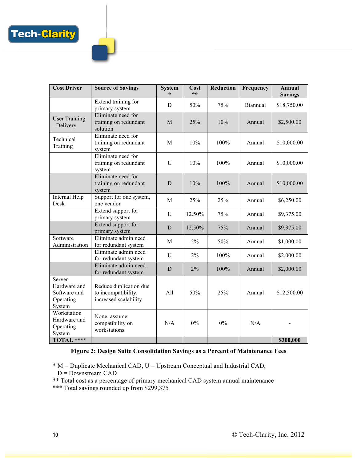| <b>Cost Driver</b>                                            | <b>Source of Savings</b>                                               | <b>System</b> | Cost<br>$**$ | <b>Reduction</b> | Frequency | Annual<br><b>Savings</b> |
|---------------------------------------------------------------|------------------------------------------------------------------------|---------------|--------------|------------------|-----------|--------------------------|
|                                                               | Extend training for<br>primary system                                  | D             | 50%          | 75%              | Biannual  | \$18,750.00              |
| <b>User Training</b><br>- Delivery                            | Eliminate need for<br>training on redundant<br>solution                | M             | 25%          | 10%              | Annual    | \$2,500.00               |
| Technical<br>Training                                         | Eliminate need for<br>training on redundant<br>system                  | M             | 10%          | 100%             | Annual    | \$10,000.00              |
|                                                               | Eliminate need for<br>training on redundant<br>system                  | U             | 10%          | 100%             | Annual    | \$10,000.00              |
|                                                               | Eliminate need for<br>training on redundant<br>system                  | D             | 10%          | 100%             | Annual    | \$10,000.00              |
| Internal Help<br>Desk                                         | Support for one system,<br>one vendor                                  | M             | 25%          | 25%              | Annual    | \$6,250.00               |
|                                                               | Extend support for<br>primary system                                   | U             | 12.50%       | 75%              | Annual    | \$9,375.00               |
|                                                               | Extend support for<br>primary system                                   | D             | 12.50%       | 75%              | Annual    | \$9,375.00               |
| Software<br>Administration                                    | Eliminate admin need<br>for redundant system                           | M             | 2%           | 50%              | Annual    | \$1,000.00               |
|                                                               | Eliminate admin need<br>for redundant system                           | U             | 2%           | 100%             | Annual    | \$2,000.00               |
|                                                               | Eliminate admin need<br>for redundant system                           | D             | 2%           | 100%             | Annual    | \$2,000.00               |
| Server<br>Hardware and<br>Software and<br>Operating<br>System | Reduce duplication due<br>to incompatibility,<br>increased scalability | All           | 50%          | 25%              | Annual    | \$12,500.00              |
| Workstation<br>Hardware and<br>Operating<br>System            | None, assume<br>compatibility on<br>workstations                       | N/A           | 0%           | $0\%$            | N/A       |                          |
| TOTAL ****                                                    |                                                                        |               |              |                  |           | \$300,000                |

#### **Figure 2: Design Suite Consolidation Savings as a Percent of Maintenance Fees**

\* M = Duplicate Mechanical CAD, U = Upstream Conceptual and Industrial CAD, D = Downstream CAD

\*\* Total cost as a percentage of primary mechanical CAD system annual maintenance

\*\*\* Total savings rounded up from \$299,375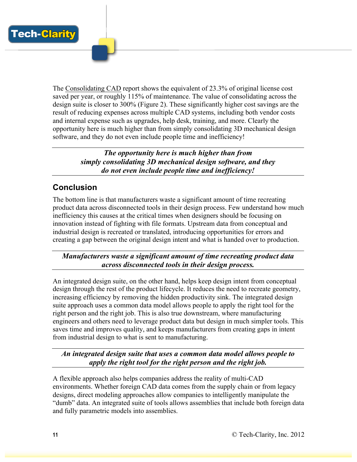The Consolidating CAD report shows the equivalent of 23.3% of original license cost saved per year, or roughly 115% of maintenance. The value of consolidating across the design suite is closer to 300% (Figure 2). These significantly higher cost savings are the result of reducing expenses across multiple CAD systems, including both vendor costs and internal expense such as upgrades, help desk, training, and more. Clearly the opportunity here is much higher than from simply consolidating 3D mechanical design software, and they do not even include people time and inefficiency!

> *The opportunity here is much higher than from simply consolidating 3D mechanical design software, and they do not even include people time and inefficiency!*

## **Conclusion**

The bottom line is that manufacturers waste a significant amount of time recreating product data across disconnected tools in their design process. Few understand how much inefficiency this causes at the critical times when designers should be focusing on innovation instead of fighting with file formats. Upstream data from conceptual and industrial design is recreated or translated, introducing opportunities for errors and creating a gap between the original design intent and what is handed over to production.

*Manufacturers waste a significant amount of time recreating product data across disconnected tools in their design process.*

An integrated design suite, on the other hand, helps keep design intent from conceptual design through the rest of the product lifecycle. It reduces the need to recreate geometry, increasing efficiency by removing the hidden productivity sink. The integrated design suite approach uses a common data model allows people to apply the right tool for the right person and the right job. This is also true downstream, where manufacturing engineers and others need to leverage product data but design in much simpler tools. This saves time and improves quality, and keeps manufacturers from creating gaps in intent from industrial design to what is sent to manufacturing.

*An integrated design suite that uses a common data model allows people to apply the right tool for the right person and the right job.*

A flexible approach also helps companies address the reality of multi-CAD environments. Whether foreign CAD data comes from the supply chain or from legacy designs, direct modeling approaches allow companies to intelligently manipulate the "dumb" data. An integrated suite of tools allows assemblies that include both foreign data and fully parametric models into assemblies.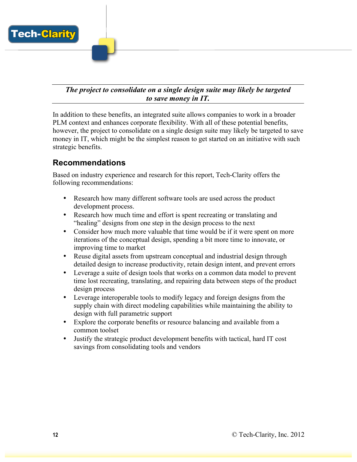

#### *The project to consolidate on a single design suite may likely be targeted to save money in IT.*

In addition to these benefits, an integrated suite allows companies to work in a broader PLM context and enhances corporate flexibility. With all of these potential benefits, however, the project to consolidate on a single design suite may likely be targeted to save money in IT, which might be the simplest reason to get started on an initiative with such strategic benefits.

#### **Recommendations**

Based on industry experience and research for this report, Tech-Clarity offers the following recommendations:

- Research how many different software tools are used across the product development process.
- Research how much time and effort is spent recreating or translating and "healing" designs from one step in the design process to the next
- Consider how much more valuable that time would be if it were spent on more iterations of the conceptual design, spending a bit more time to innovate, or improving time to market
- Reuse digital assets from upstream conceptual and industrial design through detailed design to increase productivity, retain design intent, and prevent errors
- Leverage a suite of design tools that works on a common data model to prevent time lost recreating, translating, and repairing data between steps of the product design process
- Leverage interoperable tools to modify legacy and foreign designs from the supply chain with direct modeling capabilities while maintaining the ability to design with full parametric support
- Explore the corporate benefits or resource balancing and available from a common toolset
- Justify the strategic product development benefits with tactical, hard IT cost savings from consolidating tools and vendors